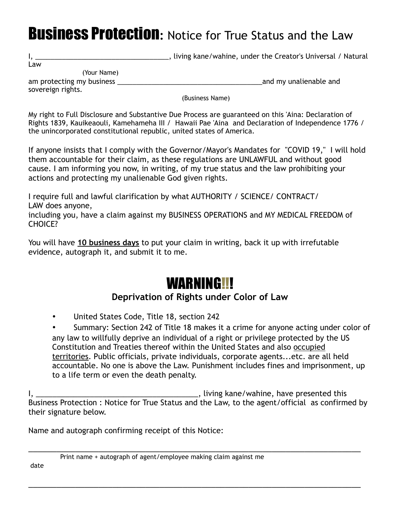## Business Protection**:** Notice for True Status and the Law

I, \_\_\_\_\_\_\_\_\_\_\_\_\_\_\_\_\_\_\_\_\_\_\_\_\_\_\_\_\_\_\_\_\_\_\_, living kane/wahine, under the Creator's Universal / Natural

Law

(Your Name)

am protecting my business and my unalienable and my unalienable and

sovereign rights.

(Business Name)

My right to Full Disclosure and Substantive Due Process are guaranteed on this 'Aina: Declaration of Rights 1839, Kauikeaouli, Kamehameha III / Hawaii Pae 'Aina and Declaration of Independence 1776 / the unincorporated constitutional republic, united states of America.

If anyone insists that I comply with the Governor/Mayor's Mandates for "COVID 19," I will hold them accountable for their claim, as these regulations are UNLAWFUL and without good cause. I am informing you now, in writing, of my true status and the law prohibiting your actions and protecting my unalienable God given rights.

I require full and lawful clarification by what AUTHORITY / SCIENCE/ CONTRACT/ LAW does anyone,

including you, have a claim against my BUSINESS OPERATIONS and MY MEDICAL FREEDOM of CHOICE?

You will have **10 business days** to put your claim in writing, back it up with irrefutable evidence, autograph it, and submit it to me.

## WARNING!!!

## **Deprivation of Rights under Color of Law**

• United States Code, Title 18, section 242

• Summary: Section 242 of Title 18 makes it a crime for anyone acting under color of any law to willfully deprive an individual of a right or privilege protected by the US Constitution and Treaties thereof within the United States and also occupied territories. Public officials, private individuals, corporate agents...etc. are all held accountable. No one is above the Law. Punishment includes fines and imprisonment, up to a life term or even the death penalty.

I, \_\_\_\_\_\_\_\_\_\_\_\_\_\_\_\_\_\_\_\_\_\_\_\_\_\_\_\_\_\_\_\_\_\_\_\_\_\_\_, living kane/wahine, have presented this Business Protection : Notice for True Status and the Law, to the agent/official as confirmed by their signature below.

\_\_\_\_\_\_\_\_\_\_\_\_\_\_\_\_\_\_\_\_\_\_\_\_\_\_\_\_\_\_\_\_\_\_\_\_\_\_\_\_\_\_\_\_\_\_\_\_\_\_\_\_\_\_\_\_\_\_\_\_\_\_\_\_\_\_\_\_\_\_\_

Name and autograph confirming receipt of this Notice:

\_\_\_\_\_\_\_\_\_\_\_\_\_\_\_\_\_\_\_\_\_\_\_\_\_\_\_\_\_\_\_\_\_\_\_\_\_\_\_\_\_\_\_\_\_\_\_\_\_\_\_\_\_\_\_\_\_\_\_\_\_\_\_\_\_\_\_\_\_\_\_ Print name + autograph of agent/employee making claim against me

date